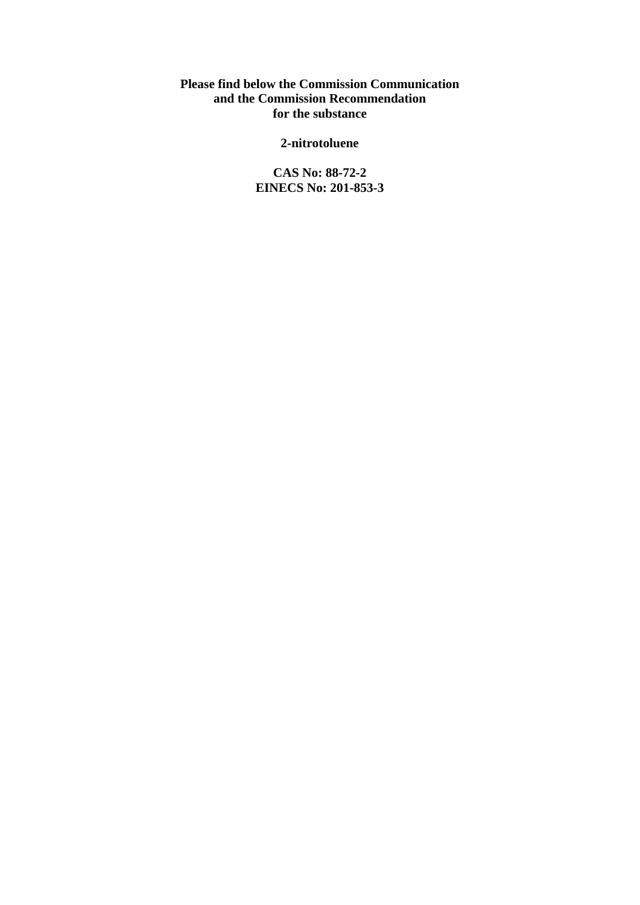**Please find below the Commission Communication and the Commission Recommendation for the substance** 

**2-nitrotoluene** 

**CAS No: 88-72-2 EINECS No: 201-853-3**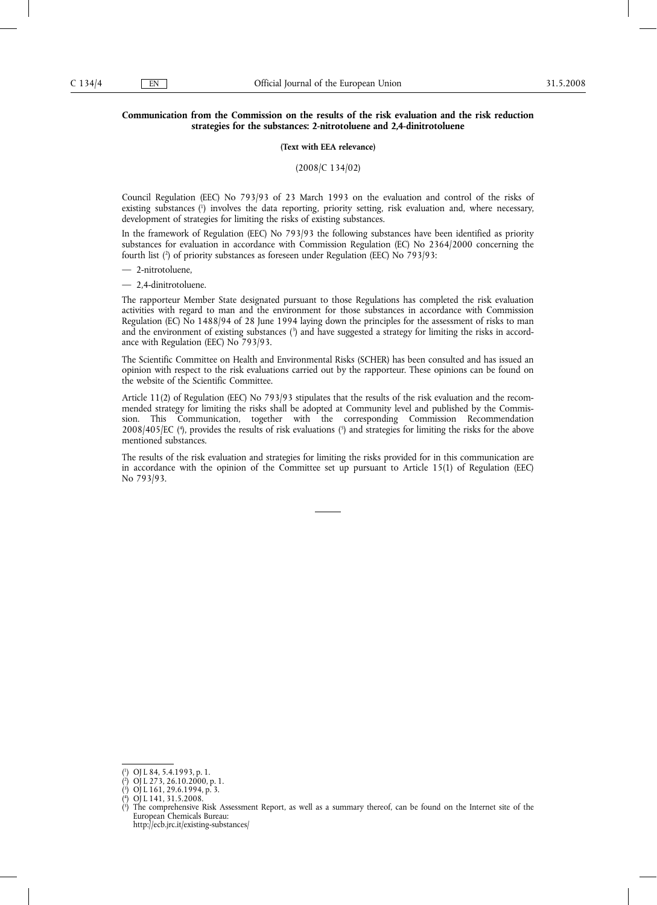# **Communication from the Commission on the results of the risk evaluation and the risk reduction strategies for the substances: 2-nitrotoluene and 2,4-dinitrotoluene**

#### **(Text with EEA relevance)**

(2008/C 134/02)

Council Regulation (EEC) No 793/93 of 23 March 1993 on the evaluation and control of the risks of existing substances (1 ) involves the data reporting, priority setting, risk evaluation and, where necessary, development of strategies for limiting the risks of existing substances.

In the framework of Regulation (EEC) No 793/93 the following substances have been identified as priority substances for evaluation in accordance with Commission Regulation (EC) No 2364/2000 concerning the fourth list (2 ) of priority substances as foreseen under Regulation (EEC) No 793/93:

— 2-nitrotoluene,

— 2,4-dinitrotoluene.

The rapporteur Member State designated pursuant to those Regulations has completed the risk evaluation activities with regard to man and the environment for those substances in accordance with Commission Regulation (EC) No 1488/94 of 28 June 1994 laying down the principles for the assessment of risks to man and the environment of existing substances (3) and have suggested a strategy for limiting the risks in accordance with Regulation (EEC) No 793/93.

The Scientific Committee on Health and Environmental Risks (SCHER) has been consulted and has issued an opinion with respect to the risk evaluations carried out by the rapporteur. These opinions can be found on the website of the Scientific Committee.

Article 11(2) of Regulation (EEC) No 793/93 stipulates that the results of the risk evaluation and the recommended strategy for limiting the risks shall be adopted at Community level and published by the Commission. This Communication, together with the corresponding Commission Recommendation 2008/405/EC (<sup>4</sup>), provides the results of risk evaluations (<sup>5</sup>) and strategies for limiting the risks for the above mentioned substances.

The results of the risk evaluation and strategies for limiting the risks provided for in this communication are in accordance with the opinion of the Committee set up pursuant to Article 15(1) of Regulation (EEC) No 793/93.

http://ecb.jrc.it/existing-substances/

<sup>(</sup> 1 ) OJ L 84, 5.4.1993, p. 1.

 $($ <sup>2</sup> ) OJ L 273, 26.10.2000, p. 1.

<sup>(</sup> 3 ) OJ L 161, 29.6.1994, p. 3. ( 4 ) OJ L 141, 31.5.2008.

<sup>(</sup> 5 ) The comprehensive Risk Assessment Report, as well as a summary thereof, can be found on the Internet site of the European Chemicals Bureau: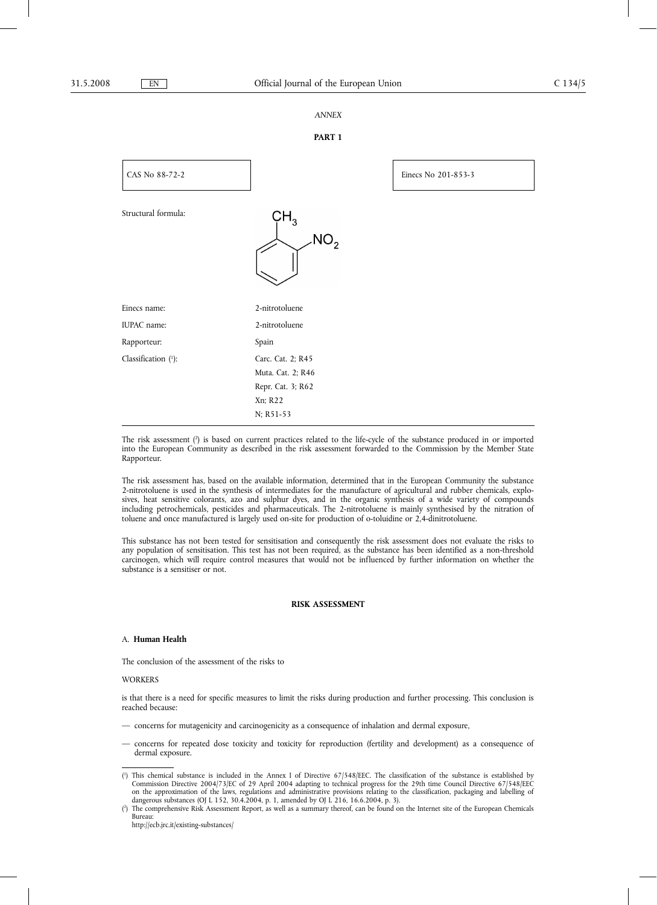# *ANNEX*

# **PART 1**



The risk assessment (2) is based on current practices related to the life-cycle of the substance produced in or imported into the European Community as described in the risk assessment forwarded to the Commission by the Member State Rapporteur.

The risk assessment has, based on the available information, determined that in the European Community the substance 2-nitrotoluene is used in the synthesis of intermediates for the manufacture of agricultural and rubber chemicals, explosives, heat sensitive colorants, azo and sulphur dyes, and in the organic synthesis of a wide variety of compounds including petrochemicals, pesticides and pharmaceuticals. The 2-nitrotoluene is mainly synthesised by the nitration of toluene and once manufactured is largely used on-site for production of o-toluidine or 2,4-dinitrotoluene.

This substance has not been tested for sensitisation and consequently the risk assessment does not evaluate the risks to any population of sensitisation. This test has not been required, as the substance has been identified as a non-threshold carcinogen, which will require control measures that would not be influenced by further information on whether the substance is a sensitiser or not.

#### **RISK ASSESSMENT**

# A. **Human Health**

The conclusion of the assessment of the risks to

#### **WORKERS**

is that there is a need for specific measures to limit the risks during production and further processing. This conclusion is reached because:

- concerns for mutagenicity and carcinogenicity as a consequence of inhalation and dermal exposure,
- concerns for repeated dose toxicity and toxicity for reproduction (fertility and development) as a consequence of dermal exposure.

<sup>(</sup> 1 ) This chemical substance is included in the Annex I of Directive 67/548/EEC. The classification of the substance is established by Commission Directive 2004/73/EC of 29 April 2004 adapting to technical progress for the 29th time Council Directive 67/548/EEC on the approximation of the laws, regulations and administrative provisions relating to the classification, packaging and labelling of dangerous substances (OJ L 152, 30.4.2004, p. 1, amended by OJ L 216, 16.6.2004, p. 3).

 $(2)$ ) The comprehensive Risk Assessment Report, as well as a summary thereof, can be found on the Internet site of the European Chemicals Bureau:

http://ecb.jrc.it/existing-substances/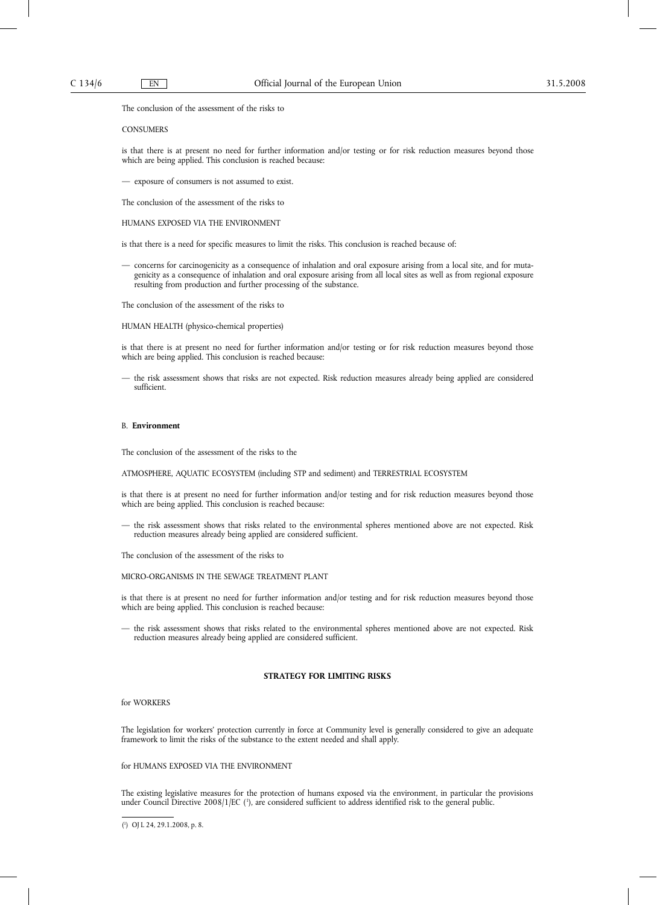The conclusion of the assessment of the risks to

#### **CONSUMERS**

is that there is at present no need for further information and/or testing or for risk reduction measures beyond those which are being applied. This conclusion is reached because:

— exposure of consumers is not assumed to exist.

The conclusion of the assessment of the risks to

HUMANS EXPOSED VIA THE ENVIRONMENT

is that there is a need for specific measures to limit the risks. This conclusion is reached because of:

— concerns for carcinogenicity as a consequence of inhalation and oral exposure arising from a local site, and for mutagenicity as a consequence of inhalation and oral exposure arising from all local sites as well as from regional exposure resulting from production and further processing of the substance.

The conclusion of the assessment of the risks to

HUMAN HEALTH (physico-chemical properties)

is that there is at present no need for further information and/or testing or for risk reduction measures beyond those which are being applied. This conclusion is reached because:

— the risk assessment shows that risks are not expected. Risk reduction measures already being applied are considered sufficient.

#### B. **Environment**

The conclusion of the assessment of the risks to the

ATMOSPHERE, AQUATIC ECOSYSTEM (including STP and sediment) and TERRESTRIAL ECOSYSTEM

is that there is at present no need for further information and/or testing and for risk reduction measures beyond those which are being applied. This conclusion is reached because:

— the risk assessment shows that risks related to the environmental spheres mentioned above are not expected. Risk reduction measures already being applied are considered sufficient.

The conclusion of the assessment of the risks to

MICRO-ORGANISMS IN THE SEWAGE TREATMENT PLANT

is that there is at present no need for further information and/or testing and for risk reduction measures beyond those which are being applied. This conclusion is reached because:

— the risk assessment shows that risks related to the environmental spheres mentioned above are not expected. Risk reduction measures already being applied are considered sufficient.

# **STRATEGY FOR LIMITING RISKS**

for WORKERS

The legislation for workers' protection currently in force at Community level is generally considered to give an adequate framework to limit the risks of the substance to the extent needed and shall apply.

## for HUMANS EXPOSED VIA THE ENVIRONMENT

The existing legislative measures for the protection of humans exposed via the environment, in particular the provisions under Council Directive 2008/1/EC (<sup>1</sup>), are considered sufficient to address identified risk to the general public.

<sup>(</sup> 1 ) OJ L 24, 29.1.2008, p. 8.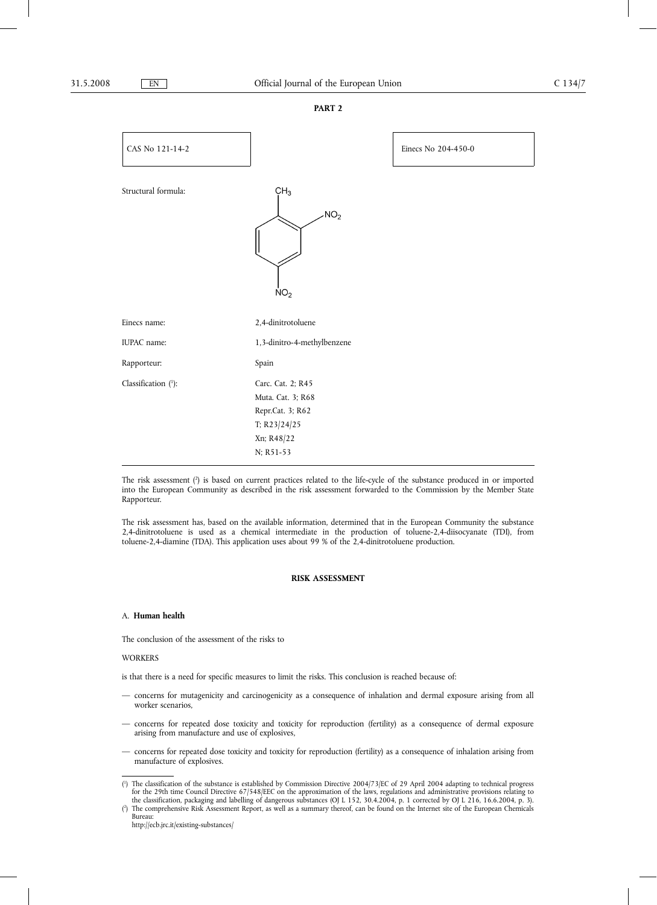#### **PART 2**



The risk assessment (?) is based on current practices related to the life-cycle of the substance produced in or imported into the European Community as described in the risk assessment forwarded to the Commission by the Member State Rapporteur.

The risk assessment has, based on the available information, determined that in the European Community the substance 2,4-dinitrotoluene is used as a chemical intermediate in the production of toluene-2,4-diisocyanate (TDI), from toluene-2,4-diamine (TDA). This application uses about 99 % of the 2,4-dinitrotoluene production.

# **RISK ASSESSMENT**

#### A. **Human health**

The conclusion of the assessment of the risks to

#### WORKERS

is that there is a need for specific measures to limit the risks. This conclusion is reached because of:

- concerns for mutagenicity and carcinogenicity as a consequence of inhalation and dermal exposure arising from all worker scenarios,
- concerns for repeated dose toxicity and toxicity for reproduction (fertility) as a consequence of dermal exposure arising from manufacture and use of explosives,
- concerns for repeated dose toxicity and toxicity for reproduction (fertility) as a consequence of inhalation arising from manufacture of explosives.

http://ecb.jrc.it/existing-substances/

<sup>(</sup> 1 ) The classification of the substance is established by Commission Directive 2004/73/EC of 29 April 2004 adapting to technical progress for the 29th time Council Directive 67/548/EEC on the approximation of the laws, regulations and administrative provisions relating to the classification, packaging and labelling of dangerous substances (OJ L 152, 30.4.2004, p. 1 corrected by OJ L 216, 16.6.2004, p. 3).

 $(2)$ ) The comprehensive Risk Assessment Report, as well as a summary thereof, can be found on the Internet site of the European Chemicals Bureau: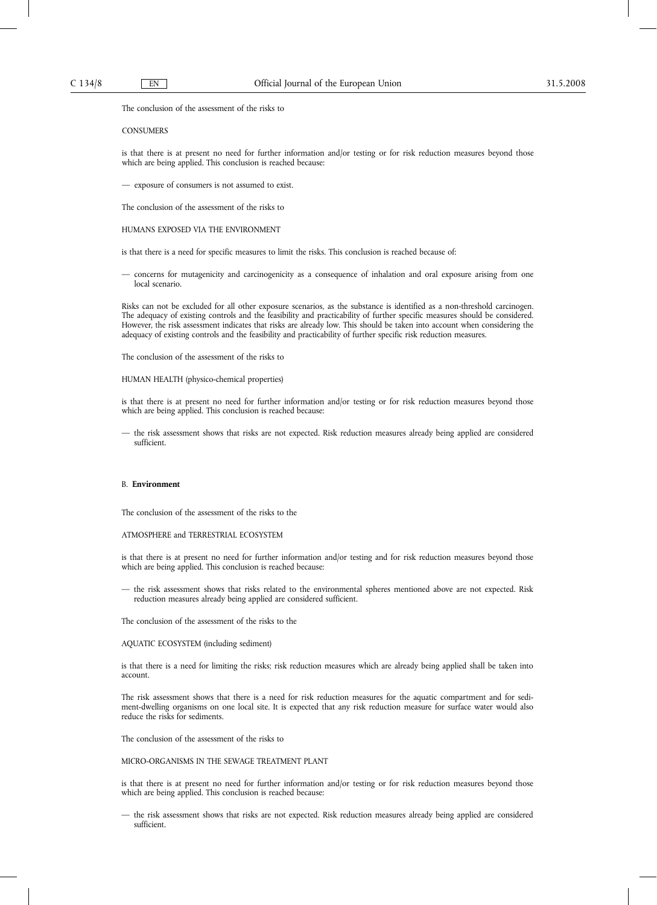The conclusion of the assessment of the risks to

#### **CONSUMERS**

is that there is at present no need for further information and/or testing or for risk reduction measures beyond those which are being applied. This conclusion is reached because:

— exposure of consumers is not assumed to exist.

The conclusion of the assessment of the risks to

HUMANS EXPOSED VIA THE ENVIRONMENT

is that there is a need for specific measures to limit the risks. This conclusion is reached because of:

— concerns for mutagenicity and carcinogenicity as a consequence of inhalation and oral exposure arising from one local scenario.

Risks can not be excluded for all other exposure scenarios, as the substance is identified as a non-threshold carcinogen. The adequacy of existing controls and the feasibility and practicability of further specific measures should be considered. However, the risk assessment indicates that risks are already low. This should be taken into account when considering the adequacy of existing controls and the feasibility and practicability of further specific risk reduction measures.

The conclusion of the assessment of the risks to

HUMAN HEALTH (physico-chemical properties)

is that there is at present no need for further information and/or testing or for risk reduction measures beyond those which are being applied. This conclusion is reached because:

— the risk assessment shows that risks are not expected. Risk reduction measures already being applied are considered sufficient.

#### B. **Environment**

The conclusion of the assessment of the risks to the

ATMOSPHERE and TERRESTRIAL ECOSYSTEM

is that there is at present no need for further information and/or testing and for risk reduction measures beyond those which are being applied. This conclusion is reached because:

— the risk assessment shows that risks related to the environmental spheres mentioned above are not expected. Risk reduction measures already being applied are considered sufficient.

The conclusion of the assessment of the risks to the

AQUATIC ECOSYSTEM (including sediment)

is that there is a need for limiting the risks; risk reduction measures which are already being applied shall be taken into account.

The risk assessment shows that there is a need for risk reduction measures for the aquatic compartment and for sediment-dwelling organisms on one local site. It is expected that any risk reduction measure for surface water would also reduce the risks for sediments.

The conclusion of the assessment of the risks to

MICRO-ORGANISMS IN THE SEWAGE TREATMENT PLANT

is that there is at present no need for further information and/or testing or for risk reduction measures beyond those which are being applied. This conclusion is reached because:

— the risk assessment shows that risks are not expected. Risk reduction measures already being applied are considered sufficient.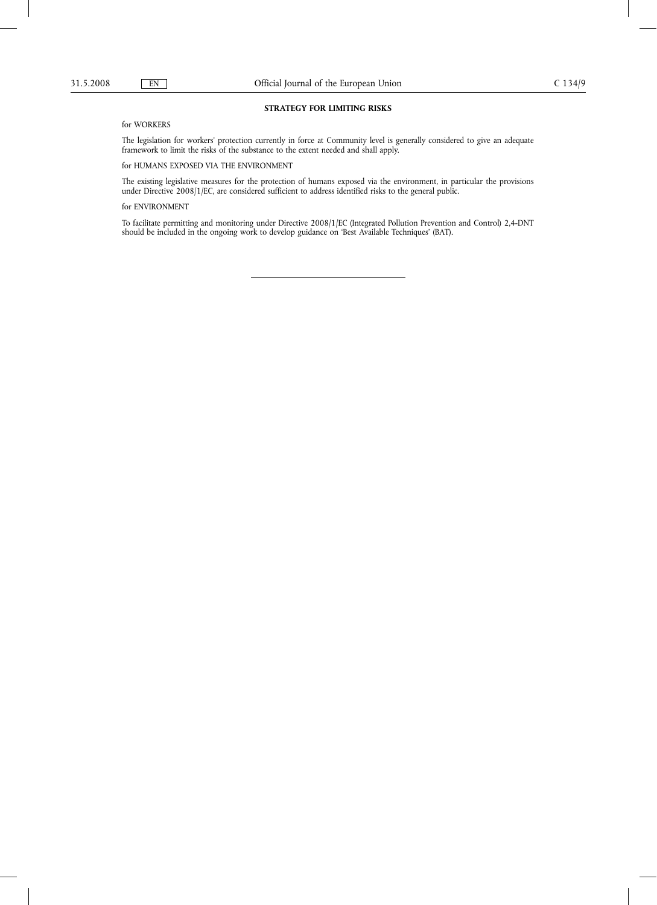## **STRATEGY FOR LIMITING RISKS**

for WORKERS

The legislation for workers' protection currently in force at Community level is generally considered to give an adequate framework to limit the risks of the substance to the extent needed and shall apply.

for HUMANS EXPOSED VIA THE ENVIRONMENT

The existing legislative measures for the protection of humans exposed via the environment, in particular the provisions under Directive 2008/1/EC, are considered sufficient to address identified risks to the general public.

for ENVIRONMENT

To facilitate permitting and monitoring under Directive 2008/1/EC (Integrated Pollution Prevention and Control) 2,4-DNT should be included in the ongoing work to develop guidance on 'Best Available Techniques' (BAT).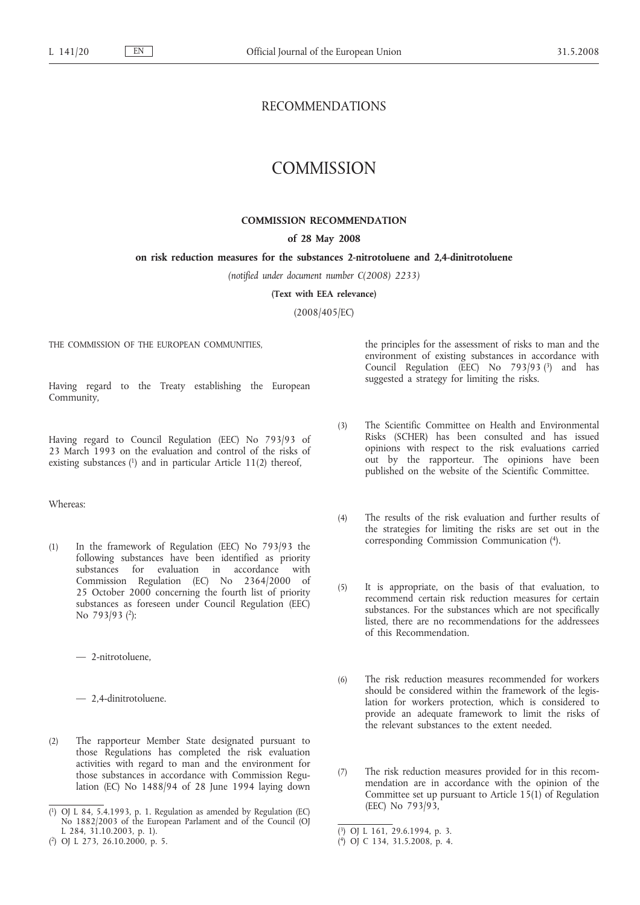# RECOMMENDATIONS

# **COMMISSION**

# **COMMISSION RECOMMENDATION**

# **of 28 May 2008**

# **on risk reduction measures for the substances 2-nitrotoluene and 2,4-dinitrotoluene**

*(notified under document number C(2008) 2233)*

**(Text with EEA relevance)**

(2008/405/EC)

THE COMMISSION OF THE EUROPEAN COMMUNITIES,

Having regard to the Treaty establishing the European Community,

Having regard to Council Regulation (EEC) No 793/93 of 23 March 1993 on the evaluation and control of the risks of existing substances (1) and in particular Article 11(2) thereof,

## Whereas:

(1) In the framework of Regulation (EEC) No 793/93 the following substances have been identified as priority substances for evaluation in accordance with Commission Regulation (EC) No 2364/2000 of 25 October 2000 concerning the fourth list of priority substances as foreseen under Council Regulation (EEC) No 793/93 (2):

— 2-nitrotoluene,

— 2,4-dinitrotoluene.

(2) The rapporteur Member State designated pursuant to those Regulations has completed the risk evaluation activities with regard to man and the environment for those substances in accordance with Commission Regulation (EC) No 1488/94 of 28 June 1994 laying down the principles for the assessment of risks to man and the environment of existing substances in accordance with Council Regulation (EEC) No 793/93 (3) and has suggested a strategy for limiting the risks.

- (3) The Scientific Committee on Health and Environmental Risks (SCHER) has been consulted and has issued opinions with respect to the risk evaluations carried out by the rapporteur. The opinions have been published on the website of the Scientific Committee.
- (4) The results of the risk evaluation and further results of the strategies for limiting the risks are set out in the corresponding Commission Communication (4).
- (5) It is appropriate, on the basis of that evaluation, to recommend certain risk reduction measures for certain substances. For the substances which are not specifically listed, there are no recommendations for the addressees of this Recommendation.
- (6) The risk reduction measures recommended for workers should be considered within the framework of the legislation for workers protection, which is considered to provide an adequate framework to limit the risks of the relevant substances to the extent needed.
- (7) The risk reduction measures provided for in this recommendation are in accordance with the opinion of the Committee set up pursuant to Article  $15(1)$  of Regulation (EEC) No 793/93,

<sup>(</sup> 1) OJ L 84, 5.4.1993, p. 1. Regulation as amended by Regulation (EC) No 1882/2003 of the European Parlament and of the Council (OJ L 284, 31.10.2003, p. 1).

<sup>(</sup> 2) OJ L 273, 26.10.2000, p. 5.

<sup>(</sup> 3) OJ L 161, 29.6.1994, p. 3.

<sup>(</sup> 4) OJ C 134, 31.5.2008, p. 4.